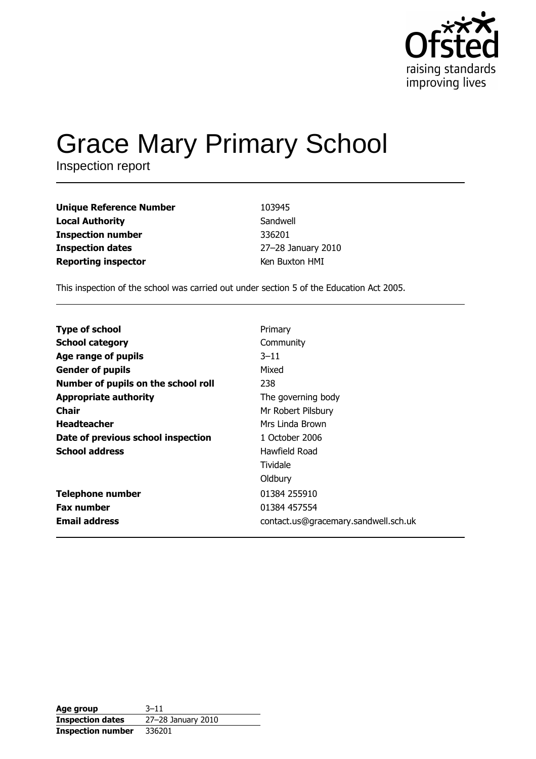

# **Grace Mary Primary School**

Inspection report

| Unique Reference Number<br>103945             |  |
|-----------------------------------------------|--|
| Local Authority<br>Sandwell                   |  |
| Inspection number<br>336201                   |  |
| 27-28 January 2010<br><b>Inspection dates</b> |  |
| Reporting inspector<br>Ken Buxton HMI         |  |

This inspection of the school was carried out under section 5 of the Education Act 2005.

| <b>Type of school</b>               | Primary                              |
|-------------------------------------|--------------------------------------|
| <b>School category</b>              | Community                            |
| Age range of pupils                 | $3 - 11$                             |
| <b>Gender of pupils</b>             | Mixed                                |
| Number of pupils on the school roll | 238                                  |
| <b>Appropriate authority</b>        | The governing body                   |
| <b>Chair</b>                        | Mr Robert Pilsbury                   |
| <b>Headteacher</b>                  | Mrs Linda Brown                      |
| Date of previous school inspection  | 1 October 2006                       |
| <b>School address</b>               | Hawfield Road                        |
|                                     | Tividale                             |
|                                     | Oldbury                              |
| <b>Telephone number</b>             | 01384 255910                         |
| <b>Fax number</b>                   | 01384 457554                         |
| <b>Email address</b>                | contact.us@gracemary.sandwell.sch.uk |

| Age group                | $3 - 11$           |
|--------------------------|--------------------|
| <b>Inspection dates</b>  | 27-28 January 2010 |
| <b>Inspection number</b> | 336201             |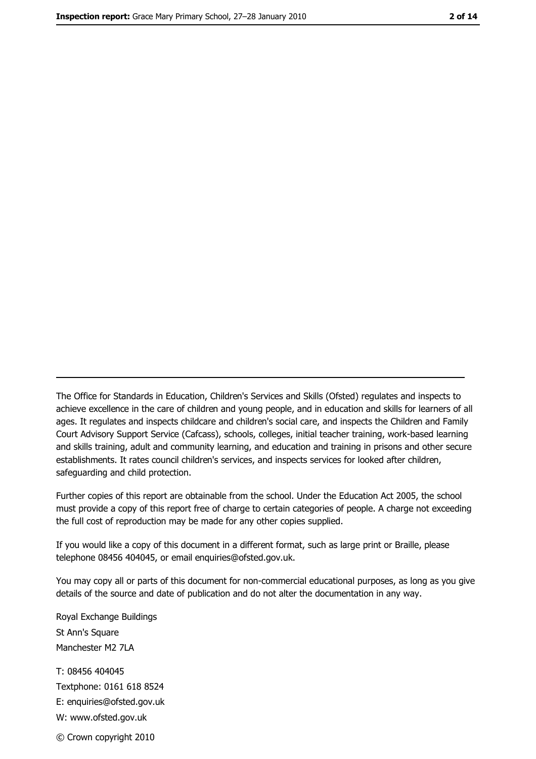The Office for Standards in Education, Children's Services and Skills (Ofsted) regulates and inspects to achieve excellence in the care of children and young people, and in education and skills for learners of all ages. It regulates and inspects childcare and children's social care, and inspects the Children and Family Court Advisory Support Service (Cafcass), schools, colleges, initial teacher training, work-based learning and skills training, adult and community learning, and education and training in prisons and other secure establishments. It rates council children's services, and inspects services for looked after children, safequarding and child protection.

Further copies of this report are obtainable from the school. Under the Education Act 2005, the school must provide a copy of this report free of charge to certain categories of people. A charge not exceeding the full cost of reproduction may be made for any other copies supplied.

If you would like a copy of this document in a different format, such as large print or Braille, please telephone 08456 404045, or email enquiries@ofsted.gov.uk.

You may copy all or parts of this document for non-commercial educational purposes, as long as you give details of the source and date of publication and do not alter the documentation in any way.

Royal Exchange Buildings St Ann's Square Manchester M2 7LA T: 08456 404045 Textphone: 0161 618 8524 E: enquiries@ofsted.gov.uk W: www.ofsted.gov.uk © Crown copyright 2010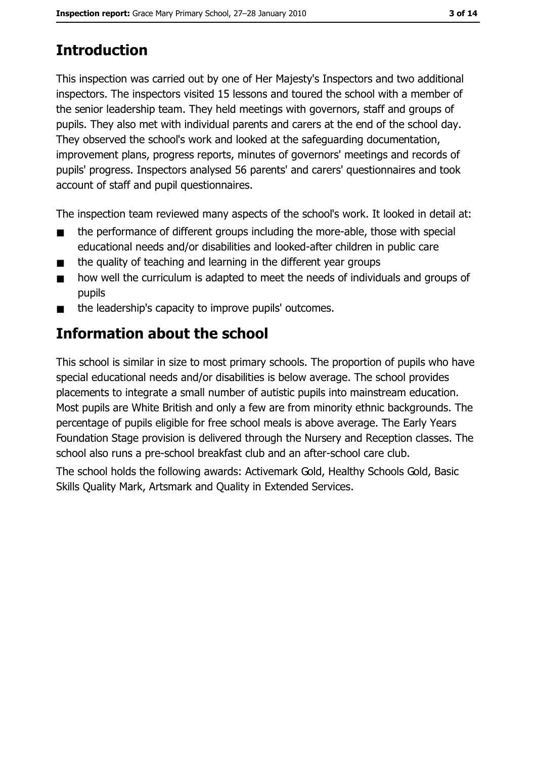# **Introduction**

This inspection was carried out by one of Her Majesty's Inspectors and two additional inspectors. The inspectors visited 15 lessons and toured the school with a member of the senior leadership team. They held meetings with governors, staff and groups of pupils. They also met with individual parents and carers at the end of the school day. They observed the school's work and looked at the safeguarding documentation, improvement plans, progress reports, minutes of governors' meetings and records of pupils' progress. Inspectors analysed 56 parents' and carers' questionnaires and took account of staff and pupil questionnaires.

The inspection team reviewed many aspects of the school's work. It looked in detail at:

- the performance of different groups including the more-able, those with special  $\blacksquare$ educational needs and/or disabilities and looked-after children in public care
- the quality of teaching and learning in the different year groups  $\blacksquare$
- how well the curriculum is adapted to meet the needs of individuals and groups of  $\blacksquare$ pupils
- the leadership's capacity to improve pupils' outcomes.

## Information about the school

This school is similar in size to most primary schools. The proportion of pupils who have special educational needs and/or disabilities is below average. The school provides placements to integrate a small number of autistic pupils into mainstream education. Most pupils are White British and only a few are from minority ethnic backgrounds. The percentage of pupils eligible for free school meals is above average. The Early Years Foundation Stage provision is delivered through the Nursery and Reception classes. The school also runs a pre-school breakfast club and an after-school care club.

The school holds the following awards: Activemark Gold, Healthy Schools Gold, Basic Skills Quality Mark, Artsmark and Quality in Extended Services.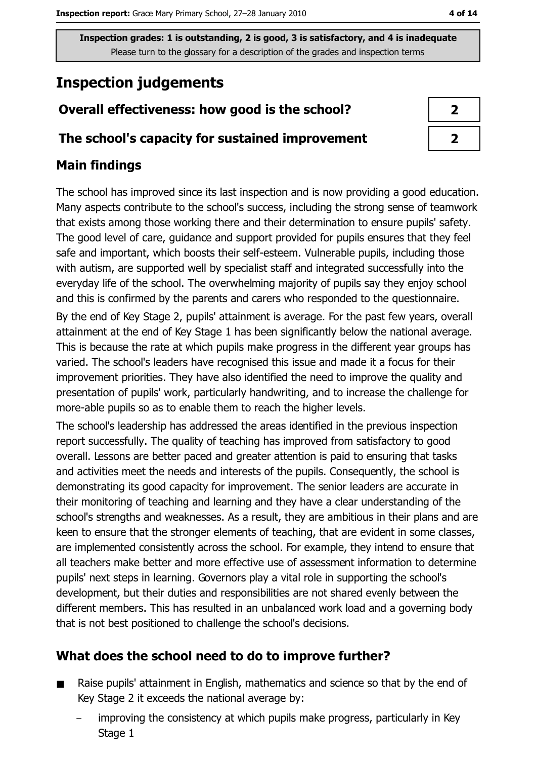## **Inspection judgements**

#### Overall effectiveness: how good is the school?

#### The school's capacity for sustained improvement

#### **Main findings**

The school has improved since its last inspection and is now providing a good education. Many aspects contribute to the school's success, including the strong sense of teamwork that exists among those working there and their determination to ensure pupils' safety. The good level of care, guidance and support provided for pupils ensures that they feel safe and important, which boosts their self-esteem. Vulnerable pupils, including those with autism, are supported well by specialist staff and integrated successfully into the everyday life of the school. The overwhelming majority of pupils say they enjoy school and this is confirmed by the parents and carers who responded to the questionnaire. By the end of Key Stage 2, pupils' attainment is average. For the past few years, overall attainment at the end of Key Stage 1 has been significantly below the national average. This is because the rate at which pupils make progress in the different year groups has varied. The school's leaders have recognised this issue and made it a focus for their improvement priorities. They have also identified the need to improve the quality and presentation of pupils' work, particularly handwriting, and to increase the challenge for more-able pupils so as to enable them to reach the higher levels.

The school's leadership has addressed the areas identified in the previous inspection report successfully. The quality of teaching has improved from satisfactory to good overall. Lessons are better paced and greater attention is paid to ensuring that tasks and activities meet the needs and interests of the pupils. Consequently, the school is demonstrating its good capacity for improvement. The senior leaders are accurate in their monitoring of teaching and learning and they have a clear understanding of the school's strengths and weaknesses. As a result, they are ambitious in their plans and are keen to ensure that the stronger elements of teaching, that are evident in some classes, are implemented consistently across the school. For example, they intend to ensure that all teachers make better and more effective use of assessment information to determine pupils' next steps in learning. Governors play a vital role in supporting the school's development, but their duties and responsibilities are not shared evenly between the different members. This has resulted in an unbalanced work load and a governing body that is not best positioned to challenge the school's decisions.

#### What does the school need to do to improve further?

- Raise pupils' attainment in English, mathematics and science so that by the end of  $\blacksquare$ Key Stage 2 it exceeds the national average by:
	- improving the consistency at which pupils make progress, particularly in Key Stage 1

| フ |  |
|---|--|
| 2 |  |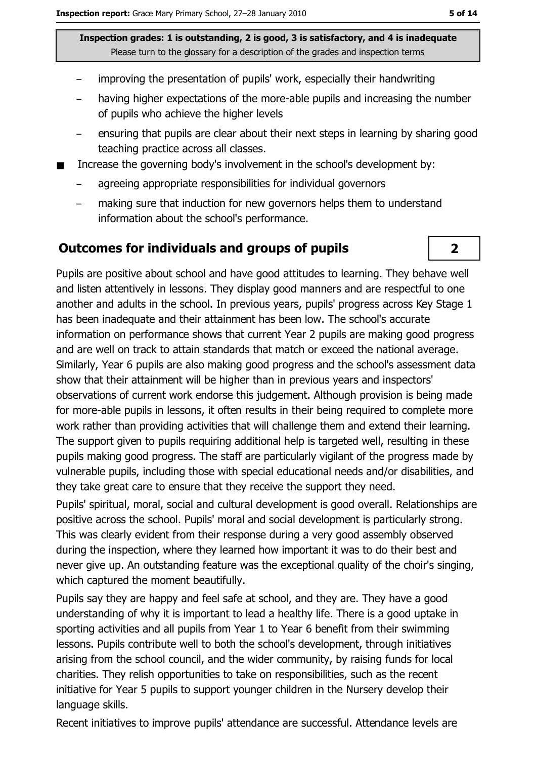- improving the presentation of pupils' work, especially their handwriting
- having higher expectations of the more-able pupils and increasing the number of pupils who achieve the higher levels
- ensuring that pupils are clear about their next steps in learning by sharing good teaching practice across all classes.
- Increase the governing body's involvement in the school's development by:  $\blacksquare$ 
	- agreeing appropriate responsibilities for individual governors
	- making sure that induction for new governors helps them to understand information about the school's performance.

#### **Outcomes for individuals and groups of pupils**

Pupils are positive about school and have good attitudes to learning. They behave well and listen attentively in lessons. They display good manners and are respectful to one another and adults in the school. In previous years, pupils' progress across Key Stage 1 has been inadequate and their attainment has been low. The school's accurate information on performance shows that current Year 2 pupils are making good progress and are well on track to attain standards that match or exceed the national average. Similarly, Year 6 pupils are also making good progress and the school's assessment data show that their attainment will be higher than in previous years and inspectors' observations of current work endorse this judgement. Although provision is being made for more-able pupils in lessons, it often results in their being required to complete more work rather than providing activities that will challenge them and extend their learning. The support given to pupils requiring additional help is targeted well, resulting in these pupils making good progress. The staff are particularly vigilant of the progress made by vulnerable pupils, including those with special educational needs and/or disabilities, and they take great care to ensure that they receive the support they need.

Pupils' spiritual, moral, social and cultural development is good overall. Relationships are positive across the school. Pupils' moral and social development is particularly strong. This was clearly evident from their response during a very good assembly observed during the inspection, where they learned how important it was to do their best and never give up. An outstanding feature was the exceptional quality of the choir's singing, which captured the moment beautifully.

Pupils say they are happy and feel safe at school, and they are. They have a good understanding of why it is important to lead a healthy life. There is a good uptake in sporting activities and all pupils from Year 1 to Year 6 benefit from their swimming lessons. Pupils contribute well to both the school's development, through initiatives arising from the school council, and the wider community, by raising funds for local charities. They relish opportunities to take on responsibilities, such as the recent initiative for Year 5 pupils to support younger children in the Nursery develop their language skills.

Recent initiatives to improve pupils' attendance are successful. Attendance levels are

 $\overline{2}$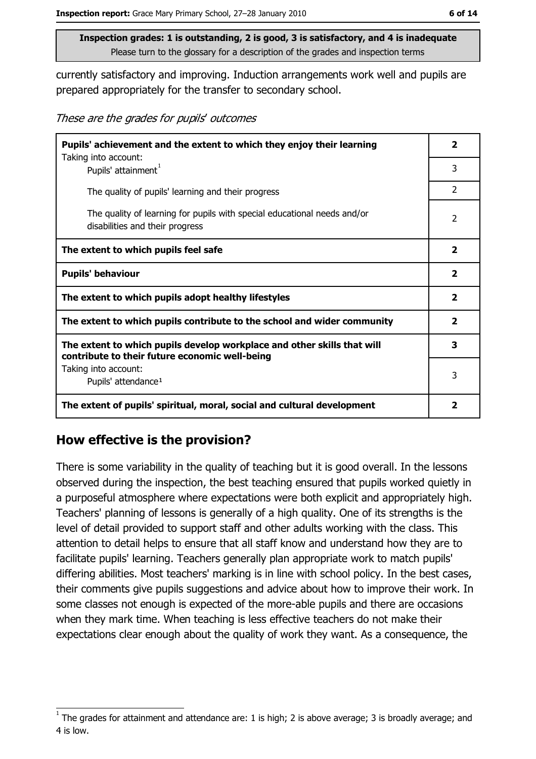currently satisfactory and improving. Induction arrangements work well and pupils are prepared appropriately for the transfer to secondary school.

These are the grades for pupils' outcomes

| Pupils' achievement and the extent to which they enjoy their learning                                                     |                         |  |
|---------------------------------------------------------------------------------------------------------------------------|-------------------------|--|
| Taking into account:<br>Pupils' attainment <sup>1</sup>                                                                   | 3                       |  |
| The quality of pupils' learning and their progress                                                                        | $\overline{2}$          |  |
| The quality of learning for pupils with special educational needs and/or<br>disabilities and their progress               | 2                       |  |
| The extent to which pupils feel safe                                                                                      | $\mathbf{2}$            |  |
| <b>Pupils' behaviour</b>                                                                                                  | $\mathbf{2}$            |  |
| The extent to which pupils adopt healthy lifestyles                                                                       | $\mathbf{2}$            |  |
| The extent to which pupils contribute to the school and wider community                                                   | $\overline{\mathbf{2}}$ |  |
| The extent to which pupils develop workplace and other skills that will<br>contribute to their future economic well-being | 3                       |  |
| Taking into account:<br>Pupils' attendance <sup>1</sup>                                                                   | 3                       |  |
| The extent of pupils' spiritual, moral, social and cultural development                                                   | 2                       |  |

#### How effective is the provision?

There is some variability in the quality of teaching but it is good overall. In the lessons observed during the inspection, the best teaching ensured that pupils worked quietly in a purposeful atmosphere where expectations were both explicit and appropriately high. Teachers' planning of lessons is generally of a high quality. One of its strengths is the level of detail provided to support staff and other adults working with the class. This attention to detail helps to ensure that all staff know and understand how they are to facilitate pupils' learning. Teachers generally plan appropriate work to match pupils' differing abilities. Most teachers' marking is in line with school policy. In the best cases, their comments give pupils suggestions and advice about how to improve their work. In some classes not enough is expected of the more-able pupils and there are occasions when they mark time. When teaching is less effective teachers do not make their expectations clear enough about the quality of work they want. As a consequence, the

The grades for attainment and attendance are: 1 is high; 2 is above average; 3 is broadly average; and 4 is low.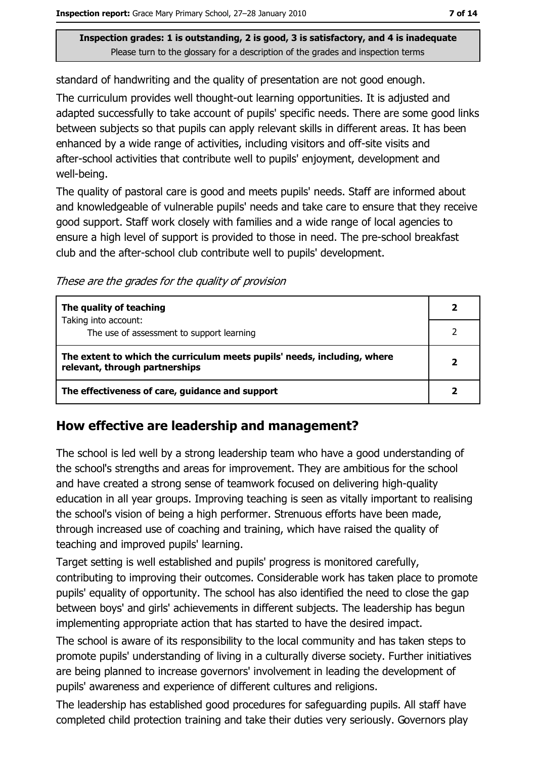standard of handwriting and the quality of presentation are not good enough.

The curriculum provides well thought-out learning opportunities. It is adjusted and adapted successfully to take account of pupils' specific needs. There are some good links between subjects so that pupils can apply relevant skills in different areas. It has been enhanced by a wide range of activities, including visitors and off-site visits and after-school activities that contribute well to pupils' enjoyment, development and well-being.

The quality of pastoral care is good and meets pupils' needs. Staff are informed about and knowledgeable of vulnerable pupils' needs and take care to ensure that they receive good support. Staff work closely with families and a wide range of local agencies to ensure a high level of support is provided to those in need. The pre-school breakfast club and the after-school club contribute well to pupils' development.

These are the grades for the quality of provision

| The quality of teaching                                                                                    |  |
|------------------------------------------------------------------------------------------------------------|--|
| Taking into account:<br>The use of assessment to support learning                                          |  |
| The extent to which the curriculum meets pupils' needs, including, where<br>relevant, through partnerships |  |
| The effectiveness of care, guidance and support                                                            |  |

#### How effective are leadership and management?

The school is led well by a strong leadership team who have a good understanding of the school's strengths and areas for improvement. They are ambitious for the school and have created a strong sense of teamwork focused on delivering high-quality education in all year groups. Improving teaching is seen as vitally important to realising the school's vision of being a high performer. Strenuous efforts have been made, through increased use of coaching and training, which have raised the quality of teaching and improved pupils' learning.

Target setting is well established and pupils' progress is monitored carefully, contributing to improving their outcomes. Considerable work has taken place to promote pupils' equality of opportunity. The school has also identified the need to close the gap between boys' and girls' achievements in different subjects. The leadership has begun implementing appropriate action that has started to have the desired impact.

The school is aware of its responsibility to the local community and has taken steps to promote pupils' understanding of living in a culturally diverse society. Further initiatives are being planned to increase governors' involvement in leading the development of pupils' awareness and experience of different cultures and religions.

The leadership has established good procedures for safeguarding pupils. All staff have completed child protection training and take their duties very seriously. Governors play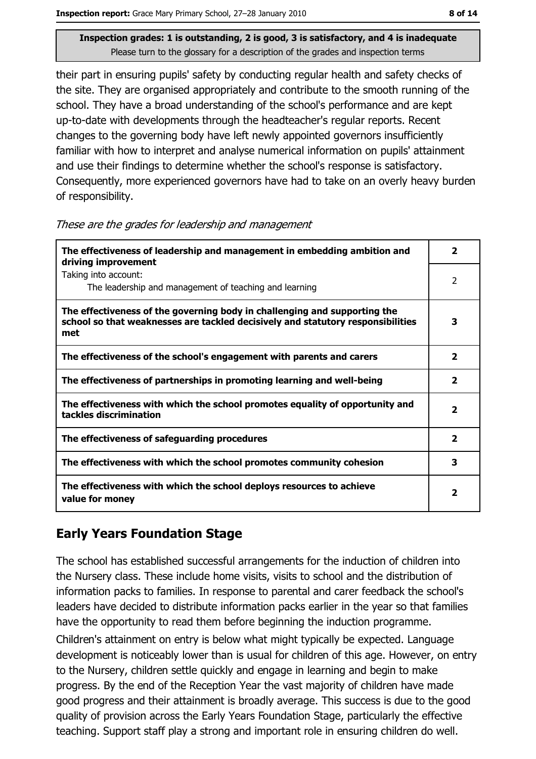their part in ensuring pupils' safety by conducting regular health and safety checks of the site. They are organised appropriately and contribute to the smooth running of the school. They have a broad understanding of the school's performance and are kept up-to-date with developments through the headteacher's regular reports. Recent changes to the governing body have left newly appointed governors insufficiently familiar with how to interpret and analyse numerical information on pupils' attainment and use their findings to determine whether the school's response is satisfactory. Consequently, more experienced governors have had to take on an overly heavy burden of responsibility.

|  |  | These are the grades for leadership and management |  |  |
|--|--|----------------------------------------------------|--|--|
|  |  |                                                    |  |  |

| The effectiveness of leadership and management in embedding ambition and<br>driving improvement                                                                     | $\overline{\mathbf{2}}$ |
|---------------------------------------------------------------------------------------------------------------------------------------------------------------------|-------------------------|
| Taking into account:<br>The leadership and management of teaching and learning                                                                                      | 2                       |
| The effectiveness of the governing body in challenging and supporting the<br>school so that weaknesses are tackled decisively and statutory responsibilities<br>met | 3                       |
| The effectiveness of the school's engagement with parents and carers                                                                                                | 2                       |
| The effectiveness of partnerships in promoting learning and well-being                                                                                              | $\overline{\mathbf{2}}$ |
| The effectiveness with which the school promotes equality of opportunity and<br>tackles discrimination                                                              | 2                       |
| The effectiveness of safeguarding procedures                                                                                                                        | $\overline{\mathbf{2}}$ |
| The effectiveness with which the school promotes community cohesion                                                                                                 | 3                       |
| The effectiveness with which the school deploys resources to achieve<br>value for money                                                                             | $\mathbf{2}$            |

## **Early Years Foundation Stage**

The school has established successful arrangements for the induction of children into the Nursery class. These include home visits, visits to school and the distribution of information packs to families. In response to parental and carer feedback the school's leaders have decided to distribute information packs earlier in the vear so that families have the opportunity to read them before beginning the induction programme. Children's attainment on entry is below what might typically be expected. Language development is noticeably lower than is usual for children of this age. However, on entry to the Nursery, children settle quickly and engage in learning and begin to make progress. By the end of the Reception Year the vast majority of children have made good progress and their attainment is broadly average. This success is due to the good quality of provision across the Early Years Foundation Stage, particularly the effective teaching. Support staff play a strong and important role in ensuring children do well.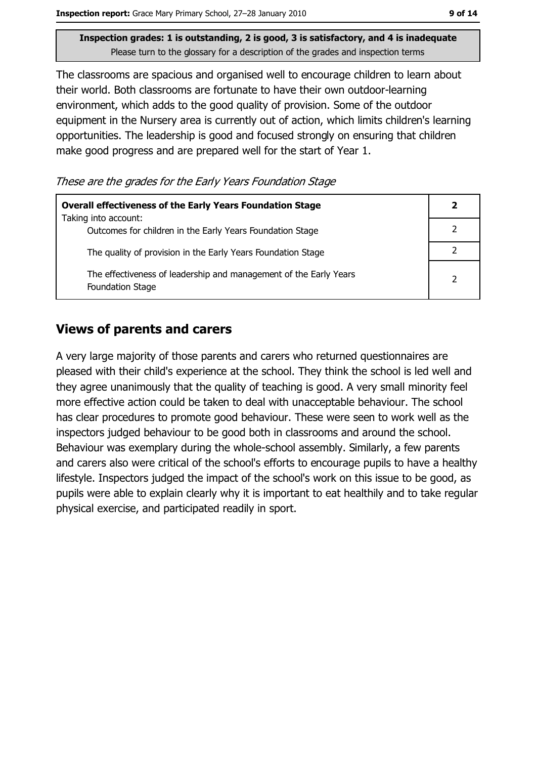The classrooms are spacious and organised well to encourage children to learn about their world. Both classrooms are fortunate to have their own outdoor-learning environment, which adds to the good quality of provision. Some of the outdoor equipment in the Nursery area is currently out of action, which limits children's learning opportunities. The leadership is good and focused strongly on ensuring that children make good progress and are prepared well for the start of Year 1.

These are the grades for the Early Years Foundation Stage

| <b>Overall effectiveness of the Early Years Foundation Stage</b>                      |               |
|---------------------------------------------------------------------------------------|---------------|
| Taking into account:<br>Outcomes for children in the Early Years Foundation Stage     |               |
| The quality of provision in the Early Years Foundation Stage                          |               |
| The effectiveness of leadership and management of the Early Years<br>Foundation Stage | $\mathcal{P}$ |

#### **Views of parents and carers**

A very large majority of those parents and carers who returned questionnaires are pleased with their child's experience at the school. They think the school is led well and they agree unanimously that the quality of teaching is good. A very small minority feel more effective action could be taken to deal with unacceptable behaviour. The school has clear procedures to promote good behaviour. These were seen to work well as the inspectors judged behaviour to be good both in classrooms and around the school. Behaviour was exemplary during the whole-school assembly. Similarly, a few parents and carers also were critical of the school's efforts to encourage pupils to have a healthy lifestyle. Inspectors judged the impact of the school's work on this issue to be good, as pupils were able to explain clearly why it is important to eat healthily and to take regular physical exercise, and participated readily in sport.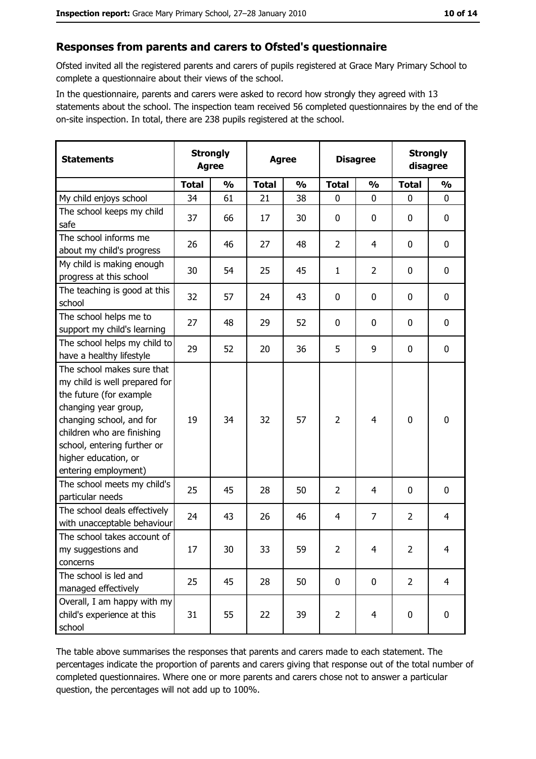#### Responses from parents and carers to Ofsted's questionnaire

Ofsted invited all the registered parents and carers of pupils registered at Grace Mary Primary School to complete a questionnaire about their views of the school.

In the questionnaire, parents and carers were asked to record how strongly they agreed with 13 statements about the school. The inspection team received 56 completed questionnaires by the end of the on-site inspection. In total, there are 238 pupils registered at the school.

| <b>Statements</b>                                                                                                                                                                                                                                       | <b>Strongly</b><br><b>Agree</b> |               | <b>Agree</b> |               | <b>Disagree</b> |                | <b>Strongly</b><br>disagree |                |
|---------------------------------------------------------------------------------------------------------------------------------------------------------------------------------------------------------------------------------------------------------|---------------------------------|---------------|--------------|---------------|-----------------|----------------|-----------------------------|----------------|
|                                                                                                                                                                                                                                                         | <b>Total</b>                    | $\frac{0}{0}$ | <b>Total</b> | $\frac{0}{0}$ | <b>Total</b>    | $\frac{0}{0}$  | <b>Total</b>                | $\frac{1}{2}$  |
| My child enjoys school                                                                                                                                                                                                                                  | 34                              | 61            | 21           | 38            | $\mathbf 0$     | 0              | $\mathbf{0}$                | 0              |
| The school keeps my child<br>safe                                                                                                                                                                                                                       | 37                              | 66            | 17           | 30            | $\bf{0}$        | 0              | 0                           | 0              |
| The school informs me<br>about my child's progress                                                                                                                                                                                                      | 26                              | 46            | 27           | 48            | $\overline{2}$  | 4              | 0                           | 0              |
| My child is making enough<br>progress at this school                                                                                                                                                                                                    | 30                              | 54            | 25           | 45            | $\mathbf{1}$    | $\overline{2}$ | 0                           | $\mathbf 0$    |
| The teaching is good at this<br>school                                                                                                                                                                                                                  | 32                              | 57            | 24           | 43            | $\mathbf 0$     | 0              | 0                           | $\mathbf 0$    |
| The school helps me to<br>support my child's learning                                                                                                                                                                                                   | 27                              | 48            | 29           | 52            | $\mathbf 0$     | 0              | 0                           | 0              |
| The school helps my child to<br>have a healthy lifestyle                                                                                                                                                                                                | 29                              | 52            | 20           | 36            | 5               | 9              | 0                           | $\bf{0}$       |
| The school makes sure that<br>my child is well prepared for<br>the future (for example<br>changing year group,<br>changing school, and for<br>children who are finishing<br>school, entering further or<br>higher education, or<br>entering employment) | 19                              | 34            | 32           | 57            | $\overline{2}$  | 4              | 0                           | $\mathbf 0$    |
| The school meets my child's<br>particular needs                                                                                                                                                                                                         | 25                              | 45            | 28           | 50            | $\overline{2}$  | 4              | 0                           | $\mathbf 0$    |
| The school deals effectively<br>with unacceptable behaviour                                                                                                                                                                                             | 24                              | 43            | 26           | 46            | $\overline{4}$  | $\overline{7}$ | $\overline{2}$              | $\overline{4}$ |
| The school takes account of<br>my suggestions and<br>concerns                                                                                                                                                                                           | 17                              | $30\,$        | 33           | 59            | $\overline{2}$  | 4              | $\overline{2}$              | 4              |
| The school is led and<br>managed effectively                                                                                                                                                                                                            | 25                              | 45            | 28           | 50            | $\mathbf 0$     | 0              | $\overline{2}$              | $\overline{4}$ |
| Overall, I am happy with my<br>child's experience at this<br>school                                                                                                                                                                                     | 31                              | 55            | 22           | 39            | $\overline{2}$  | 4              | 0                           | $\mathbf 0$    |

The table above summarises the responses that parents and carers made to each statement. The percentages indicate the proportion of parents and carers giving that response out of the total number of completed questionnaires. Where one or more parents and carers chose not to answer a particular question, the percentages will not add up to 100%.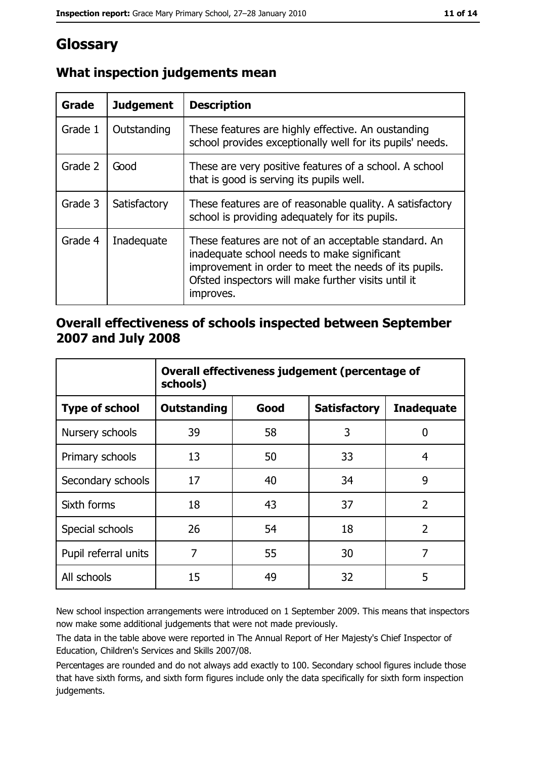## Glossary

| Grade   | <b>Judgement</b> | <b>Description</b>                                                                                                                                                                                                               |
|---------|------------------|----------------------------------------------------------------------------------------------------------------------------------------------------------------------------------------------------------------------------------|
| Grade 1 | Outstanding      | These features are highly effective. An oustanding<br>school provides exceptionally well for its pupils' needs.                                                                                                                  |
| Grade 2 | Good             | These are very positive features of a school. A school<br>that is good is serving its pupils well.                                                                                                                               |
| Grade 3 | Satisfactory     | These features are of reasonable quality. A satisfactory<br>school is providing adequately for its pupils.                                                                                                                       |
| Grade 4 | Inadequate       | These features are not of an acceptable standard. An<br>inadequate school needs to make significant<br>improvement in order to meet the needs of its pupils.<br>Ofsted inspectors will make further visits until it<br>improves. |

### What inspection judgements mean

#### Overall effectiveness of schools inspected between September 2007 and July 2008

|                       | Overall effectiveness judgement (percentage of<br>schools) |      |                     |                   |  |  |
|-----------------------|------------------------------------------------------------|------|---------------------|-------------------|--|--|
| <b>Type of school</b> | <b>Outstanding</b>                                         | Good | <b>Satisfactory</b> | <b>Inadequate</b> |  |  |
| Nursery schools       | 39                                                         | 58   | 3                   | 0                 |  |  |
| Primary schools       | 13                                                         | 50   | 33                  | 4                 |  |  |
| Secondary schools     | 17                                                         | 40   | 34                  | 9                 |  |  |
| Sixth forms           | 18                                                         | 43   | 37                  | $\overline{2}$    |  |  |
| Special schools       | 26                                                         | 54   | 18                  | $\overline{2}$    |  |  |
| Pupil referral units  | 7                                                          | 55   | 30                  | 7                 |  |  |
| All schools           | 15                                                         | 49   | 32                  | 5                 |  |  |

New school inspection arrangements were introduced on 1 September 2009. This means that inspectors now make some additional judgements that were not made previously.

The data in the table above were reported in The Annual Report of Her Majesty's Chief Inspector of Education, Children's Services and Skills 2007/08.

Percentages are rounded and do not always add exactly to 100. Secondary school figures include those that have sixth forms, and sixth form figures include only the data specifically for sixth form inspection judgements.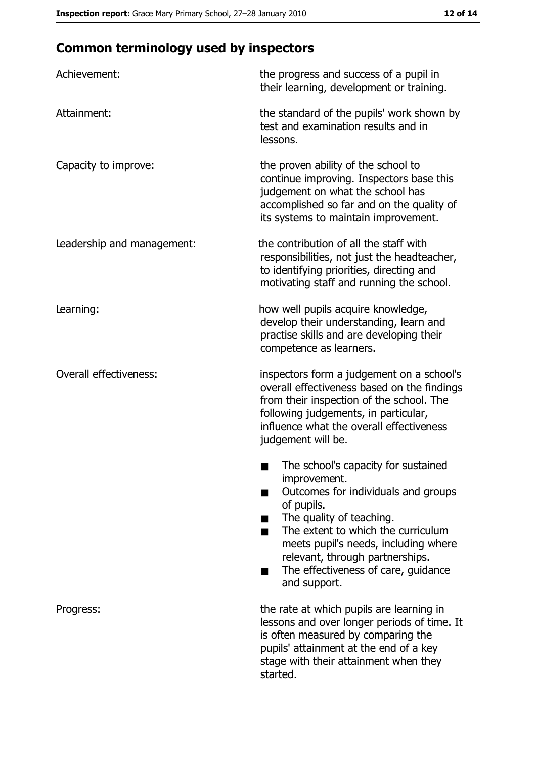## **Common terminology used by inspectors**

| Achievement:                  | the progress and success of a pupil in<br>their learning, development or training.                                                                                                                                                                                                                           |
|-------------------------------|--------------------------------------------------------------------------------------------------------------------------------------------------------------------------------------------------------------------------------------------------------------------------------------------------------------|
| Attainment:                   | the standard of the pupils' work shown by<br>test and examination results and in<br>lessons.                                                                                                                                                                                                                 |
| Capacity to improve:          | the proven ability of the school to<br>continue improving. Inspectors base this<br>judgement on what the school has<br>accomplished so far and on the quality of<br>its systems to maintain improvement.                                                                                                     |
| Leadership and management:    | the contribution of all the staff with<br>responsibilities, not just the headteacher,<br>to identifying priorities, directing and<br>motivating staff and running the school.                                                                                                                                |
| Learning:                     | how well pupils acquire knowledge,<br>develop their understanding, learn and<br>practise skills and are developing their<br>competence as learners.                                                                                                                                                          |
| <b>Overall effectiveness:</b> | inspectors form a judgement on a school's<br>overall effectiveness based on the findings<br>from their inspection of the school. The<br>following judgements, in particular,<br>influence what the overall effectiveness<br>judgement will be.                                                               |
|                               | The school's capacity for sustained<br>improvement.<br>Outcomes for individuals and groups<br>of pupils.<br>The quality of teaching.<br>The extent to which the curriculum<br>meets pupil's needs, including where<br>relevant, through partnerships.<br>The effectiveness of care, guidance<br>and support. |
| Progress:                     | the rate at which pupils are learning in<br>lessons and over longer periods of time. It<br>is often measured by comparing the<br>pupils' attainment at the end of a key<br>stage with their attainment when they<br>started.                                                                                 |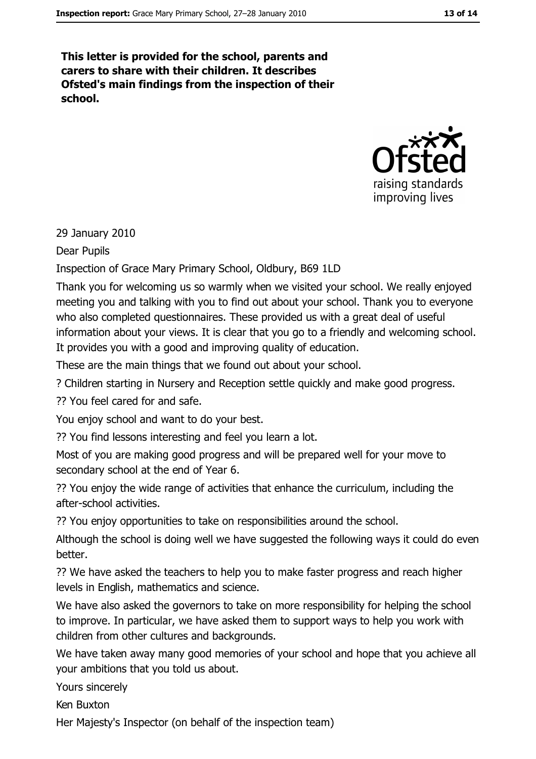This letter is provided for the school, parents and carers to share with their children. It describes Ofsted's main findings from the inspection of their school.



29 January 2010

Dear Pupils

Inspection of Grace Mary Primary School, Oldbury, B69 1LD

Thank you for welcoming us so warmly when we visited your school. We really enjoyed meeting you and talking with you to find out about your school. Thank you to everyone who also completed questionnaires. These provided us with a great deal of useful information about your views. It is clear that you go to a friendly and welcoming school. It provides you with a good and improving quality of education.

These are the main things that we found out about your school.

? Children starting in Nursery and Reception settle quickly and make good progress.

22 You feel cared for and safe.

You enjoy school and want to do your best.

?? You find lessons interesting and feel you learn a lot.

Most of you are making good progress and will be prepared well for your move to secondary school at the end of Year 6.

?? You enjoy the wide range of activities that enhance the curriculum, including the after-school activities.

?? You enjoy opportunities to take on responsibilities around the school.

Although the school is doing well we have suggested the following ways it could do even better.

?? We have asked the teachers to help you to make faster progress and reach higher levels in English, mathematics and science.

We have also asked the governors to take on more responsibility for helping the school to improve. In particular, we have asked them to support ways to help you work with children from other cultures and backgrounds.

We have taken away many good memories of your school and hope that you achieve all your ambitions that you told us about.

Yours sincerely

Ken Buxton

Her Majesty's Inspector (on behalf of the inspection team)